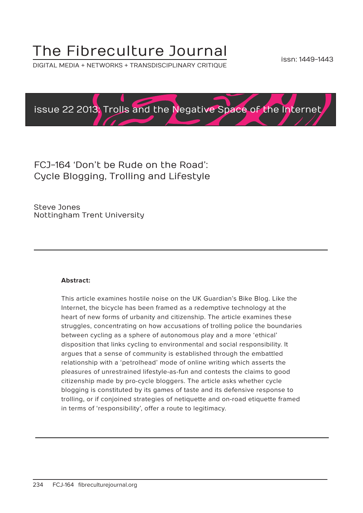# The Fibreculture Journal

DIGITAL MEDIA + NETWORKS + TRANSDISCIPLINARY CRITIQUE

issn: 1449-1443



FCJ-164 'Don't be Rude on the Road': Cycle Blogging, Trolling and Lifestyle

Steve Jones Nottingham Trent University

#### **Abstract:**

This article examines hostile noise on the UK Guardian's Bike Blog. Like the Internet, the bicycle has been framed as a redemptive technology at the heart of new forms of urbanity and citizenship. The article examines these struggles, concentrating on how accusations of trolling police the boundaries between cycling as a sphere of autonomous play and a more 'ethical' disposition that links cycling to environmental and social responsibility. It argues that a sense of community is established through the embattled relationship with a 'petrolhead' mode of online writing which asserts the pleasures of unrestrained lifestyle-as-fun and contests the claims to good citizenship made by pro-cycle bloggers. The article asks whether cycle blogging is constituted by its games of taste and its defensive response to trolling, or if conjoined strategies of netiquette and on-road etiquette framed in terms of 'responsibility', offer a route to legitimacy.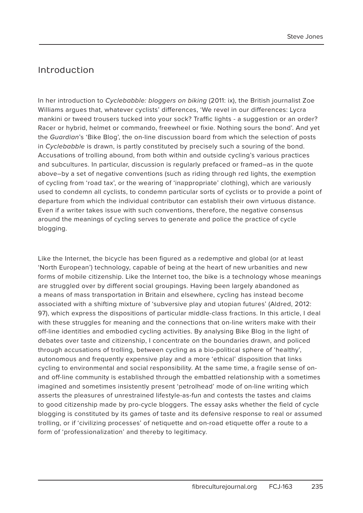# Introduction

In her introduction to Cyclebabble: bloggers on biking (2011: ix), the British journalist Zoe Williams argues that, whatever cyclists' differences, 'We revel in our differences: Lycra mankini or tweed trousers tucked into your sock? Traffic lights - a suggestion or an order? Racer or hybrid, helmet or commando, freewheel or fixie. Nothing sours the bond'. And yet the Guardian's 'Bike Blog', the on-line discussion board from which the selection of posts in Cyclebabble is drawn, is partly constituted by precisely such a souring of the bond. Accusations of trolling abound, from both within and outside cycling's various practices and subcultures. In particular, discussion is regularly prefaced or framed–as in the quote above–by a set of negative conventions (such as riding through red lights, the exemption of cycling from 'road tax', or the wearing of 'inappropriate' clothing), which are variously used to condemn all cyclists, to condemn particular sorts of cyclists or to provide a point of departure from which the individual contributor can establish their own virtuous distance. Even if a writer takes issue with such conventions, therefore, the negative consensus around the meanings of cycling serves to generate and police the practice of cycle blogging.

Like the Internet, the bicycle has been figured as a redemptive and global (or at least 'North European') technology, capable of being at the heart of new urbanities and new forms of mobile citizenship. Like the Internet too, the bike is a technology whose meanings are struggled over by different social groupings. Having been largely abandoned as a means of mass transportation in Britain and elsewhere, cycling has instead become associated with a shifting mixture of 'subversive play and utopian futures' (Aldred, 2012: 97), which express the dispositions of particular middle-class fractions. In this article, I deal with these struggles for meaning and the connections that on-line writers make with their off-line identities and embodied cycling activities. By analysing Bike Blog in the light of debates over taste and citizenship, I concentrate on the boundaries drawn, and policed through accusations of trolling, between cycling as a bio-political sphere of 'healthy', autonomous and frequently expensive play and a more 'ethical' disposition that links cycling to environmental and social responsibility. At the same time, a fragile sense of onand off-line community is established through the embattled relationship with a sometimes imagined and sometimes insistently present 'petrolhead' mode of on-line writing which asserts the pleasures of unrestrained lifestyle-as-fun and contests the tastes and claims to good citizenship made by pro-cycle bloggers. The essay asks whether the field of cycle blogging is constituted by its games of taste and its defensive response to real or assumed trolling, or if 'civilizing processes' of netiquette and on-road etiquette offer a route to a form of 'professionalization' and thereby to legitimacy.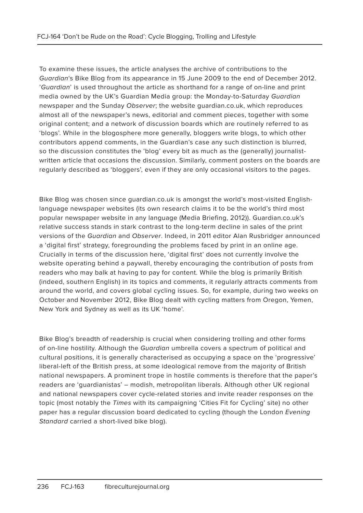To examine these issues, the article analyses the archive of contributions to the Guardian's Bike Blog from its appearance in 15 June 2009 to the end of December 2012. 'Guardian' is used throughout the article as shorthand for a range of on-line and print media owned by the UK's Guardian Media group: the Monday-to-Saturday Guardian newspaper and the Sunday Observer; the website guardian.co.uk, which reproduces almost all of the newspaper's news, editorial and comment pieces, together with some original content; and a network of discussion boards which are routinely referred to as 'blogs'. While in the blogosphere more generally, bloggers write blogs, to which other contributors append comments, in the Guardian's case any such distinction is blurred, so the discussion constitutes the 'blog' every bit as much as the (generally) journalistwritten article that occasions the discussion. Similarly, comment posters on the boards are regularly described as 'bloggers', even if they are only occasional visitors to the pages.

Bike Blog was chosen since guardian.co.uk is amongst the world's most-visited Englishlanguage newspaper websites (its own research claims it to be the world's third most popular newspaper website in any language (Media Briefing, 2012)). Guardian.co.uk's relative success stands in stark contrast to the long-term decline in sales of the print versions of the Guardian and Observer. Indeed, in 2011 editor Alan Rusbridger announced a 'digital first' strategy, foregrounding the problems faced by print in an online age. Crucially in terms of the discussion here, 'digital first' does not currently involve the website operating behind a paywall, thereby encouraging the contribution of posts from readers who may balk at having to pay for content. While the blog is primarily British (indeed, southern English) in its topics and comments, it regularly attracts comments from around the world, and covers global cycling issues. So, for example, during two weeks on October and November 2012, Bike Blog dealt with cycling matters from Oregon, Yemen, New York and Sydney as well as its UK 'home'.

Bike Blog's breadth of readership is crucial when considering trolling and other forms of on-line hostility. Although the Guardian umbrella covers a spectrum of political and cultural positions, it is generally characterised as occupying a space on the 'progressive' liberal-left of the British press, at some ideological remove from the majority of British national newspapers. A prominent trope in hostile comments is therefore that the paper's readers are 'guardianistas' – modish, metropolitan liberals. Although other UK regional and national newspapers cover cycle-related stories and invite reader responses on the topic (most notably the Times with its campaigning 'Cities Fit for Cycling' site) no other paper has a regular discussion board dedicated to cycling (though the London Evening Standard carried a short-lived bike blog).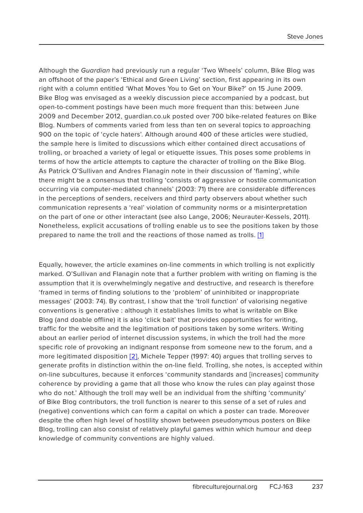Although the Guardian had previously run a regular 'Two Wheels' column, Bike Blog was an offshoot of the paper's 'Ethical and Green Living' section, first appearing in its own right with a column entitled 'What Moves You to Get on Your Bike?' on 15 June 2009. Bike Blog was envisaged as a weekly discussion piece accompanied by a podcast, but open-to-comment postings have been much more frequent than this: between June 2009 and December 2012, guardian.co.uk posted over 700 bike-related features on Bike Blog. Numbers of comments varied from less than ten on several topics to approaching 900 on the topic of 'cycle haters'. Although around 400 of these articles were studied, the sample here is limited to discussions which either contained direct accusations of trolling, or broached a variety of legal or etiquette issues. This poses some problems in terms of how the article attempts to capture the character of trolling on the Bike Blog. As Patrick O'Sullivan and Andres Flanagin note in their discussion of 'flaming', while there might be a consensus that trolling 'consists of aggressive or hostile communication occurring via computer-mediated channels' (2003: 71) there are considerable differences in the perceptions of senders, receivers and third party observers about whether such communication represents a 'real' violation of community norms or a misinterpretation on the part of one or other interactant (see also Lange, 2006; Neurauter-Kessels, 2011). Nonetheless, explicit accusations of trolling enable us to see the positions taken by those prepared to name the troll and the reactions of those named as trolls. [1]

Equally, however, the article examines on-line comments in which trolling is not explicitly marked. O'Sullivan and Flanagin note that a further problem with writing on flaming is the assumption that it is overwhelmingly negative and destructive, and research is therefore 'framed in terms of finding solutions to the 'problem' of uninhibited or inappropriate messages' (2003: 74). By contrast, I show that the 'troll function' of valorising negative conventions is generative : although it establishes limits to what is writable on Bike Blog (and doable offline) it is also 'click bait' that provides opportunities for writing, traffic for the website and the legitimation of positions taken by some writers. Writing about an earlier period of internet discussion systems, in which the troll had the more specific role of provoking an indignant response from someone new to the forum, and a more legitimated disposition [2], Michele Tepper (1997: 40) argues that trolling serves to generate profits in distinction within the on-line field. Trolling, she notes, is accepted within on-line subcultures, because it enforces 'community standards and [increases] community coherence by providing a game that all those who know the rules can play against those who do not.' Although the troll may well be an individual from the shifting 'community' of Bike Blog contributors, the troll function is nearer to this sense of a set of rules and (negative) conventions which can form a capital on which a poster can trade. Moreover despite the often high level of hostility shown between pseudonymous posters on Bike Blog, trolling can also consist of relatively playful games within which humour and deep knowledge of community conventions are highly valued.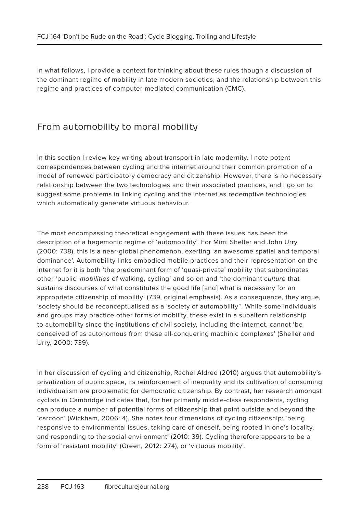In what follows, I provide a context for thinking about these rules though a discussion of the dominant regime of mobility in late modern societies, and the relationship between this regime and practices of computer-mediated communication (CMC).

# From automobility to moral mobility

In this section I review key writing about transport in late modernity. I note potent correspondences between cycling and the internet around their common promotion of a model of renewed participatory democracy and citizenship. However, there is no necessary relationship between the two technologies and their associated practices, and I go on to suggest some problems in linking cycling and the internet as redemptive technologies which automatically generate virtuous behaviour.

The most encompassing theoretical engagement with these issues has been the description of a hegemonic regime of 'automobility'. For Mimi Sheller and John Urry (2000: 738), this is a near-global phenomenon, exerting 'an awesome spatial and temporal dominance'. Automobility links embodied mobile practices and their representation on the internet for it is both 'the predominant form of 'quasi-private' mobility that subordinates other 'public' mobilities of walking, cycling' and so on and 'the dominant culture that sustains discourses of what constitutes the good life [and] what is necessary for an appropriate citizenship of mobility' (739, original emphasis). As a consequence, they argue, 'society should be reconceptualised as a 'society of automobility''. While some individuals and groups may practice other forms of mobility, these exist in a subaltern relationship to automobility since the institutions of civil society, including the internet, cannot 'be conceived of as autonomous from these all-conquering machinic complexes' (Sheller and Urry, 2000: 739).

In her discussion of cycling and citizenship, Rachel Aldred (2010) argues that automobility's privatization of public space, its reinforcement of inequality and its cultivation of consuming individualism are problematic for democratic citizenship. By contrast, her research amongst cyclists in Cambridge indicates that, for her primarily middle-class respondents, cycling can produce a number of potential forms of citizenship that point outside and beyond the 'carcoon' (Wickham, 2006: 4). She notes four dimensions of cycling citizenship: 'being responsive to environmental issues, taking care of oneself, being rooted in one's locality, and responding to the social environment' (2010: 39). Cycling therefore appears to be a form of 'resistant mobility' (Green, 2012: 274), or 'virtuous mobility'.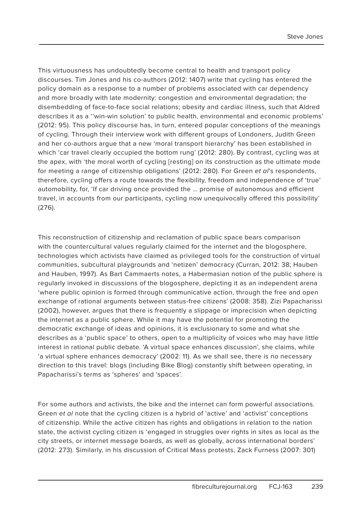This virtuousness has undoubtedly become central to health and transport policy discourses. Tim Jones and his co-authors (2012: 1407) write that cycling has entered the policy domain as a response to a number of problems associated with car dependency and more broadly with late modernity: congestion and environmental degradation; the disembedding of face-to-face social relations; obesity and cardiac illness, such that Aldred describes it as a ''win-win solution' to public health, environmental and economic problems' (2012: 95). This policy discourse has, in turn, entered popular conceptions of the meanings of cycling. Through their interview work with different groups of Londoners, Judith Green and her co-authors argue that a new 'moral transport hierarchy' has been established in which 'car travel clearly occupied the bottom rung' (2012: 280). By contrast, cycling was at the apex, with 'the moral worth of cycling [resting] on its construction as the ultimate mode for meeting a range of citizenship obligations' (2012: 280). For Green et al's respondents, therefore, cycling offers a route towards the flexibility, freedom and independence of 'true' automobility, for, 'If car driving once provided the … promise of autonomous and efficient travel, in accounts from our participants, cycling now unequivocally offered this possibility' (276).

This reconstruction of citizenship and reclamation of public space bears comparison with the countercultural values regularly claimed for the internet and the blogosphere, technologies which activists have claimed as privileged tools for the construction of virtual communities, subcultural playgrounds and 'netizen' democracy (Curran, 2012: 38; Hauben and Hauben, 1997). As Bart Cammaerts notes, a Habermasian notion of the public sphere is regularly invoked in discussions of the blogosphere, depicting it as an independent arena 'where public opinion is formed through communicative action, through the free and open exchange of rational arguments between status-free citizens' (2008: 358). Zizi Papacharissi (2002), however, argues that there is frequently a slippage or imprecision when depicting the internet as a public sphere. While it may have the potential for promoting the democratic exchange of ideas and opinions, it is exclusionary to some and what she describes as a 'public space' to others, open to a multiplicity of voices who may have little interest in rational public debate. 'A virtual space enhances discussion', she claims, while 'a virtual sphere enhances democracy' (2002: 11). As we shall see, there is no necessary direction to this travel: blogs (including Bike Blog) constantly shift between operating, in Papacharissi's terms as 'spheres' and 'spaces'.

For some authors and activists, the bike and the internet can form powerful associations. Green et al note that the cycling citizen is a hybrid of 'active' and 'activist' conceptions of citizenship. While the active citizen has rights and obligations in relation to the nation state, the activist cycling citizen is 'engaged in struggles over rights in sites as local as the city streets, or internet message boards, as well as globally, across international borders' (2012: 273). Similarly, in his discussion of Critical Mass protests, Zack Furness (2007: 301)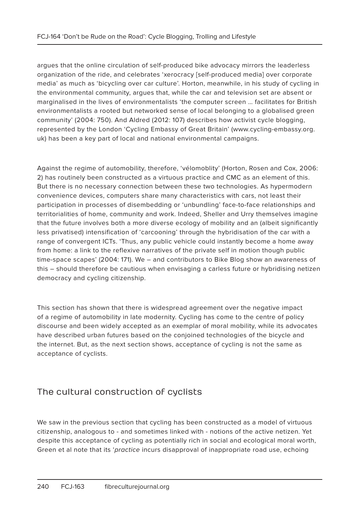argues that the online circulation of self-produced bike advocacy mirrors the leaderless organization of the ride, and celebrates 'xerocracy [self-produced media] over corporate media' as much as 'bicycling over car culture'. Horton, meanwhile, in his study of cycling in the environmental community, argues that, while the car and television set are absent or marginalised in the lives of environmentalists 'the computer screen … facilitates for British environmentalists a rooted but networked sense of local belonging to a globalised green community' (2004: 750). And Aldred (2012: 107) describes how activist cycle blogging, represented by the London 'Cycling Embassy of Great Britain' (www.cycling-embassy.org. uk) has been a key part of local and national environmental campaigns.

Against the regime of automobility, therefore, 'vélomoblity' (Horton, Rosen and Cox, 2006: 2) has routinely been constructed as a virtuous practice and CMC as an element of this. But there is no necessary connection between these two technologies. As hypermodern convenience devices, computers share many characteristics with cars, not least their participation in processes of disembedding or 'unbundling' face-to-face relationships and territorialities of home, community and work. Indeed, Sheller and Urry themselves imagine that the future involves both a more diverse ecology of mobility and an (albeit significantly less privatised) intensification of 'carcooning' through the hybridisation of the car with a range of convergent ICTs. 'Thus, any public vehicle could instantly become a home away from home: a link to the reflexive narratives of the private self in motion though public time-space scapes' (2004: 171). We – and contributors to Bike Blog show an awareness of this – should therefore be cautious when envisaging a carless future or hybridising netizen democracy and cycling citizenship.

This section has shown that there is widespread agreement over the negative impact of a regime of automobility in late modernity. Cycling has come to the centre of policy discourse and been widely accepted as an exemplar of moral mobility, while its advocates have described urban futures based on the conjoined technologies of the bicycle and the internet. But, as the next section shows, acceptance of cycling is not the same as acceptance of cyclists.

# The cultural construction of cyclists

We saw in the previous section that cycling has been constructed as a model of virtuous citizenship, analogous to - and sometimes linked with - notions of the active netizen. Yet despite this acceptance of cycling as potentially rich in social and ecological moral worth, Green et al note that its 'practice incurs disapproval of inappropriate road use, echoing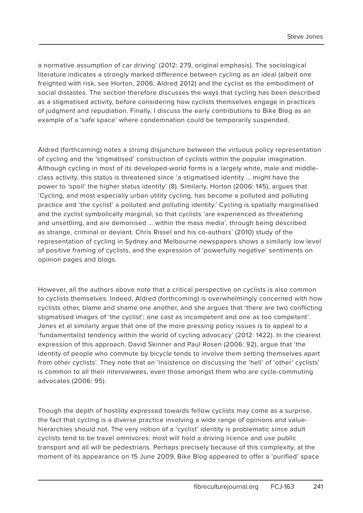a normative assumption of car driving' (2012: 279, original emphasis). The sociological literature indicates a strongly marked difference between cycling as an ideal (albeit one freighted with risk, see Horton, 2006; Aldred 2012) and the cyclist as the embodiment of social distastes. The section therefore discusses the ways that cycling has been described as a stigmatised activity, before considering how cyclists themselves engage in practices of judgment and repudiation. Finally, I discuss the early contributions to Bike Blog as an example of a 'safe space' where condemnation could be temporarily suspended.

Aldred (forthcoming) notes a strong disjuncture between the virtuous policy representation of cycling and the 'stigmatised' construction of cyclists within the popular imagination. Although cycling in most of its developed-world forms is a largely white, male and middleclass activity, this status is threatened since 'a stigmatised identity … might have the power to 'spoil' the higher status identity' (8). Similarly, Horton (2006: 145), argues that 'Cycling, and most especially urban utility cycling, has become a polluted and polluting practice and 'the cyclist' a polluted and polluting identity.' Cycling is spatially marginalised and the cyclist symbolically marginal, so that cyclists 'are experienced as threatening and unsettling, and are demonised … within the mass media', through being described as strange, criminal or deviant. Chris Rissel and his co-authors' (2010) study of the representation of cycling in Sydney and Melbourne newspapers shows a similarly low level of positive framing of cyclists, and the expression of 'powerfully negative' sentiments on opinion pages and blogs.

However, all the authors above note that a critical perspective on cyclists is also common to cyclists themselves. Indeed, Aldred (forthcoming) is overwhelmingly concerned with how cyclists other, blame and shame one another, and she argues that 'there are two conflicting stigmatised images of 'the cyclist'; one cast as incompetent and one as too competent'. Jones et al similarly argue that one of the more pressing policy issues is to appeal to a 'fundamentalist tendency within the world of cycling advocacy' (2012: 1422). In the clearest expression of this approach, David Skinner and Paul Rosen (2006: 92), argue that 'the identity of people who commute by bicycle tends to involve them setting themselves apart from other cyclists'. They note that an 'insistence on discussing the 'hell' of 'other' cyclists' is common to all their interviewees, even those amongst them who are cycle-commuting advocates (2006: 95).

Though the depth of hostility expressed towards fellow cyclists may come as a surprise, the fact that cycling is a diverse practice involving a wide range of opinions and valuehierarchies should not. The very notion of a 'cyclist' identity is problematic since adult cyclists tend to be travel omnivores: most will hold a driving licence and use public transport and all will be pedestrians. Perhaps precisely because of this complexity, at the moment of its appearance on 15 June 2009, Bike Blog appeared to offer a 'purified' space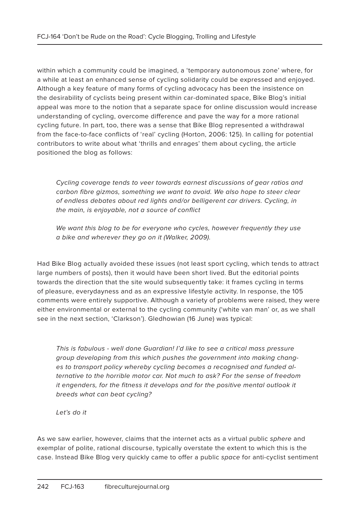within which a community could be imagined, a 'temporary autonomous zone' where, for a while at least an enhanced sense of cycling solidarity could be expressed and enjoyed. Although a key feature of many forms of cycling advocacy has been the insistence on the desirability of cyclists being present within car-dominated space, Bike Blog's initial appeal was more to the notion that a separate space for online discussion would increase understanding of cycling, overcome difference and pave the way for a more rational cycling future. In part, too, there was a sense that Bike Blog represented a withdrawal from the face-to-face conflicts of 'real' cycling (Horton, 2006: 125). In calling for potential contributors to write about what 'thrills and enrages' them about cycling, the article positioned the blog as follows:

Cycling coverage tends to veer towards earnest discussions of gear ratios and carbon fibre gizmos, something we want to avoid. We also hope to steer clear of endless debates about red lights and/or belligerent car drivers. Cycling, in the main, is enjoyable, not a source of conflict

We want this blog to be for everyone who cycles, however frequently they use a bike and wherever they go on it (Walker, 2009).

Had Bike Blog actually avoided these issues (not least sport cycling, which tends to attract large numbers of posts), then it would have been short lived. But the editorial points towards the direction that the site would subsequently take: it frames cycling in terms of pleasure, everydayness and as an expressive lifestyle activity. In response, the 105 comments were entirely supportive. Although a variety of problems were raised, they were either environmental or external to the cycling community ('white van man' or, as we shall see in the next section, 'Clarkson'). Gledhowian (16 June) was typical:

This is fabulous - well done Guardian! I'd like to see a critical mass pressure group developing from this which pushes the government into making changes to transport policy whereby cycling becomes a recognised and funded alternative to the horrible motor car. Not much to ask? For the sense of freedom it engenders, for the fitness it develops and for the positive mental outlook it breeds what can beat cycling?

Let's do it

As we saw earlier, however, claims that the internet acts as a virtual public sphere and exemplar of polite, rational discourse, typically overstate the extent to which this is the case. Instead Bike Blog very quickly came to offer a public space for anti-cyclist sentiment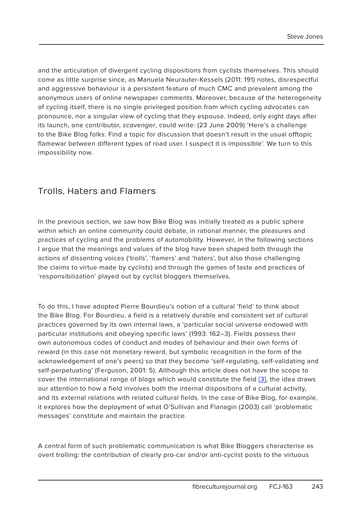and the articulation of divergent cycling dispositions from cyclists themselves. This should come as little surprise since, as Manuela Neurauter-Kessels (2011: 191) notes, disrespectful and aggressive behaviour is a persistent feature of much CMC and prevalent among the anonymous users of online newspaper comments. Moreover, because of the heterogeneity of cycling itself, there is no single privileged position from which cycling advocates can pronounce, nor a singular view of cycling that they espouse. Indeed, only eight days after its launch, one contributor, scavenger, could write: (23 June 2009) 'Here's a challenge to the Bike Blog folks: Find a topic for discussion that doesn't result in the usual offtopic flamewar between different types of road user. I suspect it is impossible'. We turn to this impossibility now.

# Trolls, Haters and Flamers

In the previous section, we saw how Bike Blog was initially treated as a public sphere within which an online community could debate, in rational manner, the pleasures and practices of cycling and the problems of automobility. However, in the following sections I argue that the meanings and values of the blog have been shaped both through the actions of dissenting voices ('trolls', 'flamers' and 'haters', but also those challenging the claims to virtue made by cyclists) and through the games of taste and practices of 'responsibilization' played out by cyclist bloggers themselves.

To do this, I have adopted Pierre Bourdieu's notion of a cultural 'field' to think about the Bike Blog. For Bourdieu, a field is a relatively durable and consistent set of cultural practices governed by its own internal laws, a 'particular social universe endowed with particular institutions and obeying specific laws' (1993: 162–3). Fields possess their own autonomous codes of conduct and modes of behaviour and their own forms of reward (in this case not monetary reward, but symbolic recognition in the form of the acknowledgement of one's peers) so that they become 'self-regulating, self-validating and self-perpetuating' (Ferguson, 2001: 5). Although this article does not have the scope to cover the international range of blogs which would constitute the field [3], the idea draws our attention to how a field involves both the internal dispositions of a cultural activity, and its external relations with related cultural fields. In the case of Bike Blog, for example, it explores how the deployment of what O'Sullivan and Flanagin (2003) call 'problematic messages' constitute and maintain the practice.

A central form of such problematic communication is what Bike Bloggers characterise as overt trolling: the contribution of clearly pro-car and/or anti-cyclist posts to the virtuous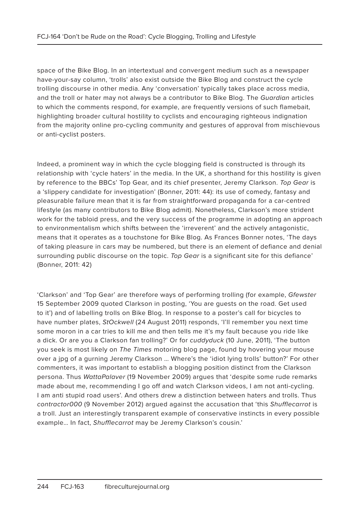space of the Bike Blog. In an intertextual and convergent medium such as a newspaper have-your-say column, 'trolls' also exist outside the Bike Blog and construct the cycle trolling discourse in other media. Any 'conversation' typically takes place across media, and the troll or hater may not always be a contributor to Bike Blog. The Guardian articles to which the comments respond, for example, are frequently versions of such flamebait, highlighting broader cultural hostility to cyclists and encouraging righteous indignation from the majority online pro-cycling community and gestures of approval from mischievous or anti-cyclist posters.

Indeed, a prominent way in which the cycle blogging field is constructed is through its relationship with 'cycle haters' in the media. In the UK, a shorthand for this hostility is given by reference to the BBCs' Top Gear, and its chief presenter, Jeremy Clarkson. Top Gear is a 'slippery candidate for investigation' (Bonner, 2011: 44): its use of comedy, fantasy and pleasurable failure mean that it is far from straightforward propaganda for a car-centred lifestyle (as many contributors to Bike Blog admit). Nonetheless, Clarkson's more strident work for the tabloid press, and the very success of the programme in adopting an approach to environmentalism which shifts between the 'irreverent' and the actively antagonistic, means that it operates as a touchstone for Bike Blog. As Frances Bonner notes, 'The days of taking pleasure in cars may be numbered, but there is an element of defiance and denial surrounding public discourse on the topic. Top Gear is a significant site for this defiance' (Bonner, 2011: 42)

'Clarkson' and 'Top Gear' are therefore ways of performing trolling (for example, Gfewster 15 September 2009 quoted Clarkson in posting, 'You are guests on the road. Get used to it') and of labelling trolls on Bike Blog. In response to a poster's call for bicycles to have number plates, StOckwell (24 August 2011) responds, 'I'll remember you next time some moron in a car tries to kill me and then tells me it's my fault because you ride like a dick. Or are you a Clarkson fan trolling?' Or for cuddyduck (10 June, 2011), 'The button you seek is most likely on The Times motoring blog page, found by hovering your mouse over a jpg of a gurning Jeremy Clarkson … Where's the 'idiot lying trolls' button?' For other commenters, it was important to establish a blogging position distinct from the Clarkson persona. Thus WattaPalaver (19 November 2009) argues that 'despite some rude remarks made about me, recommending I go off and watch Clarkson videos, I am not anti-cycling. I am anti stupid road users'. And others drew a distinction between haters and trolls. Thus contractor000 (9 November 2012) argued against the accusation that 'this Shufflecarrot is a troll. Just an interestingly transparent example of conservative instincts in every possible example… In fact, Shufflecarrot may be Jeremy Clarkson's cousin.'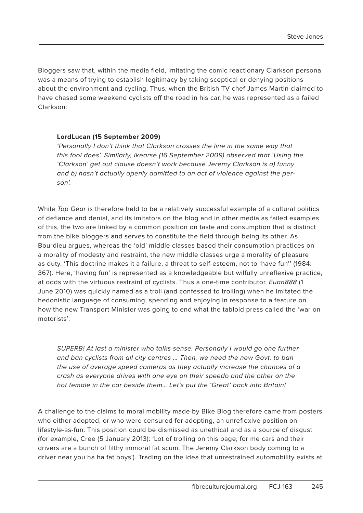Bloggers saw that, within the media field, imitating the comic reactionary Clarkson persona was a means of trying to establish legitimacy by taking sceptical or denying positions about the environment and cycling. Thus, when the British TV chef James Martin claimed to have chased some weekend cyclists off the road in his car, he was represented as a failed Clarkson:

#### **LordLucan (15 September 2009)**

'Personally I don't think that Clarkson crosses the line in the same way that this fool does'. Similarly, Ikearse (16 September 2009) observed that 'Using the 'Clarkson' get out clause doesn't work because Jeremy Clarkson is a) funny and b) hasn't actually openly admitted to an act of violence against the person'.

While Top Gear is therefore held to be a relatively successful example of a cultural politics of defiance and denial, and its imitators on the blog and in other media as failed examples of this, the two are linked by a common position on taste and consumption that is distinct from the bike bloggers and serves to constitute the field through being its other. As Bourdieu argues, whereas the 'old' middle classes based their consumption practices on a morality of modesty and restraint, the new middle classes urge a morality of pleasure as duty. 'This doctrine makes it a failure, a threat to self-esteem, not to 'have fun'' (1984: 367). Here, 'having fun' is represented as a knowledgeable but wilfully unreflexive practice, at odds with the virtuous restraint of cyclists. Thus a one-time contributor, Euan888 (1 June 2010) was quickly named as a troll (and confessed to trolling) when he imitated the hedonistic language of consuming, spending and enjoying in response to a feature on how the new Transport Minister was going to end what the tabloid press called the 'war on motorists':

SUPERB! At last a minister who talks sense. Personally I would go one further and ban cyclists from all city centres … Then, we need the new Govt. to ban the use of average speed cameras as they actually increase the chances of a crash as everyone drives with one eye on their speedo and the other on the hot female in the car beside them… Let's put the 'Great' back into Britain!

A challenge to the claims to moral mobility made by Bike Blog therefore came from posters who either adopted, or who were censured for adopting, an unreflexive position on lifestyle-as-fun. This position could be dismissed as unethical and as a source of disgust (for example, Cree (5 January 2013): 'Lot of trolling on this page, for me cars and their drivers are a bunch of filthy immoral fat scum. The Jeremy Clarkson body coming to a driver near you ha ha fat boys'). Trading on the idea that unrestrained automobility exists at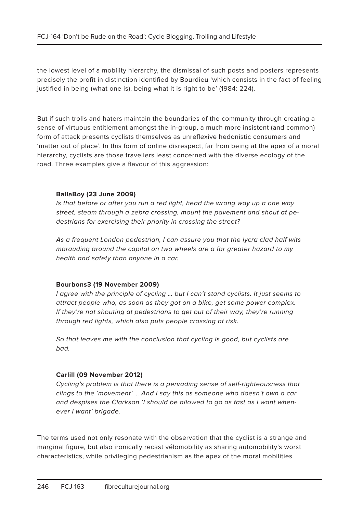the lowest level of a mobility hierarchy, the dismissal of such posts and posters represents precisely the profit in distinction identified by Bourdieu 'which consists in the fact of feeling justified in being (what one is), being what it is right to be' (1984: 224).

But if such trolls and haters maintain the boundaries of the community through creating a sense of virtuous entitlement amongst the in-group, a much more insistent (and common) form of attack presents cyclists themselves as unreflexive hedonistic consumers and 'matter out of place'. In this form of online disrespect, far from being at the apex of a moral hierarchy, cyclists are those travellers least concerned with the diverse ecology of the road. Three examples give a flavour of this aggression:

#### **BallaBoy (23 June 2009)**

Is that before or after you run a red light, head the wrong way up a one way street, steam through a zebra crossing, mount the pavement and shout at pedestrians for exercising their priority in crossing the street?

As a frequent London pedestrian, I can assure you that the lycra clad half wits marauding around the capital on two wheels are a far greater hazard to my health and safety than anyone in a car.

#### **Bourbons3 (19 November 2009)**

I agree with the principle of cycling … but I can't stand cyclists. It just seems to attract people who, as soon as they got on a bike, get some power complex. If they're not shouting at pedestrians to get out of their way, they're running through red lights, which also puts people crossing at risk.

So that leaves me with the conclusion that cycling is good, but cyclists are bad.

#### **Carlill (09 November 2012)**

Cycling's problem is that there is a pervading sense of self-righteousness that clings to the 'movement' … And I say this as someone who doesn't own a car and despises the Clarkson 'I should be allowed to go as fast as I want whenever I want' brigade.

The terms used not only resonate with the observation that the cyclist is a strange and marginal figure, but also ironically recast vélomobility as sharing automobility's worst characteristics, while privileging pedestrianism as the apex of the moral mobilities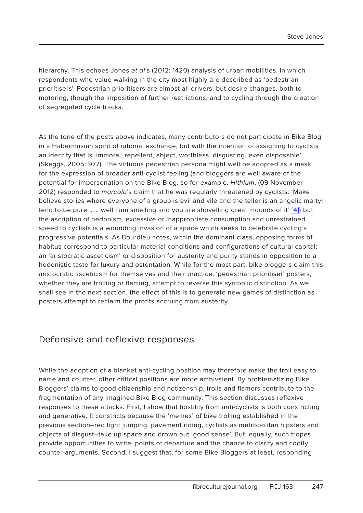hierarchy. This echoes Jones et al's (2012: 1420) analysis of urban mobilities, in which respondents who value walking in the city most highly are described as 'pedestrian prioritisers'. Pedestrian prioritisers are almost all drivers, but desire changes, both to motoring, though the imposition of further restrictions, and to cycling through the creation of segregated cycle tracks.

As the tone of the posts above indicates, many contributors do not participate in Bike Blog in a Habermasian spirit of rational exchange, but with the intention of assigning to cyclists an identity that is 'immoral, repellent, abject, worthless, disgusting, even disposable' (Skeggs, 2005: 977). The virtuous pedestrian persona might well be adopted as a mask for the expression of broader anti-cyclist feeling (and bloggers are well aware of the potential for impersonation on the Bike Blog, so for example, Hithlum, (09 November 2012) responded to *marcolo*'s claim that he was regularly threatened by cyclists: 'Make believe stories where everyone of a group is evil and vile and the teller is an angelic martyr tend to be pure …… well I am smelling and you are shovelling great mounds of it' [4]) but the ascription of hedonism, excessive or inappropriate consumption and unrestrained speed to cyclists is a wounding invasion of a space which seeks to celebrate cycling's progressive potentials. As Bourdieu notes, within the dominant class, opposing forms of habitus correspond to particular material conditions and configurations of cultural capital: an 'aristocratic asceticism' or disposition for austerity and purity stands in opposition to a hedonistic taste for luxury and ostentation. While for the most part, bike bloggers claim this aristocratic asceticism for themselves and their practice, 'pedestrian prioritiser' posters, whether they are trolling or flaming, attempt to reverse this symbolic distinction. As we shall see in the next section, the effect of this is to generate new games of distinction as posters attempt to reclaim the profits accruing from austerity.

# Defensive and reflexive responses

While the adoption of a blanket anti-cycling position may therefore make the troll easy to name and counter, other critical positions are more ambivalent. By problematizing Bike Bloggers' claims to good citizenship and netizenship, trolls and flamers contribute to the fragmentation of any imagined Bike Blog community. This section discusses reflexive responses to these attacks. First, I show that hostility from anti-cyclists is both constricting and generative. It constricts because the 'memes' of bike trolling established in the previous section–red light jumping, pavement riding, cyclists as metropolitan hipsters and objects of disgust–take up space and drown out 'good sense'. But, equally, such tropes provide opportunities to write, points of departure and the chance to clarify and codify counter-arguments. Second, I suggest that, for some Bike Bloggers at least, responding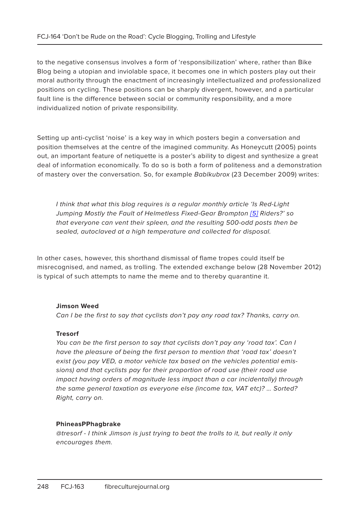to the negative consensus involves a form of 'responsibilization' where, rather than Bike Blog being a utopian and inviolable space, it becomes one in which posters play out their moral authority through the enactment of increasingly intellectualized and professionalized positions on cycling. These positions can be sharply divergent, however, and a particular fault line is the difference between social or community responsibility, and a more individualized notion of private responsibility.

Setting up anti-cyclist 'noise' is a key way in which posters begin a conversation and position themselves at the centre of the imagined community. As Honeycutt (2005) points out, an important feature of netiquette is a poster's ability to digest and synthesize a great deal of information economically. To do so is both a form of politeness and a demonstration of mastery over the conversation. So, for example Bablkubrox (23 December 2009) writes:

I think that what this blog requires is a regular monthly article 'Is Red-Light Jumping Mostly the Fault of Helmetless Fixed-Gear Brompton [5] Riders?' so that everyone can vent their spleen, and the resulting 500-odd posts then be sealed, autoclaved at a high temperature and collected for disposal.

In other cases, however, this shorthand dismissal of flame tropes could itself be misrecognised, and named, as trolling. The extended exchange below (28 November 2012) is typical of such attempts to name the meme and to thereby quarantine it.

#### **Jimson Weed**

Can I be the first to say that cyclists don't pay any road tax? Thanks, carry on.

#### **Tresorf**

You can be the first person to say that cyclists don't pay any 'road tax'. Can I have the pleasure of being the first person to mention that 'road tax' doesn't exist (you pay VED, a motor vehicle tax based on the vehicles potential emissions) and that cyclists pay for their proportion of road use (their road use impact having orders of magnitude less impact than a car incidentally) through the same general taxation as everyone else (income tax, VAT etc)? … Sorted? Right, carry on.

#### **PhineasPPhagbrake**

@tresorf - I think Jimson is just trying to beat the trolls to it, but really it only encourages them.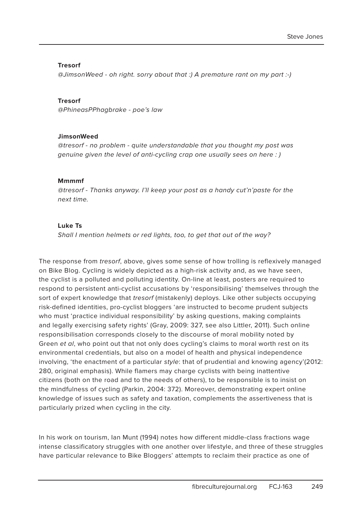#### **Tresorf**

@JimsonWeed - oh right. sorry about that :) A premature rant on my part :-)

#### **Tresorf**

@PhineasPPhagbrake - poe's law

#### **JimsonWeed**

@tresorf - no problem - quite understandable that you thought my post was genuine given the level of anti-cycling crap one usually sees on here : )

#### **Mmmmf**

@tresorf - Thanks anyway. I'll keep your post as a handy cut'n'paste for the next time.

#### **Luke Ts**

Shall I mention helmets or red lights, too, to get that out of the way?

The response from tresorf, above, gives some sense of how trolling is reflexively managed on Bike Blog. Cycling is widely depicted as a high-risk activity and, as we have seen, the cyclist is a polluted and polluting identity. On-line at least, posters are required to respond to persistent anti-cyclist accusations by 'responsibilising' themselves through the sort of expert knowledge that tresorf (mistakenly) deploys. Like other subjects occupying risk-defined identities, pro-cyclist bloggers 'are instructed to become prudent subjects who must 'practice individual responsibility' by asking questions, making complaints and legally exercising safety rights' (Gray, 2009: 327, see also Littler, 2011). Such online responsibilisation corresponds closely to the discourse of moral mobility noted by Green et al, who point out that not only does cycling's claims to moral worth rest on its environmental credentials, but also on a model of health and physical independence involving, 'the enactment of a particular style: that of prudential and knowing agency'(2012: 280, original emphasis). While flamers may charge cyclists with being inattentive citizens (both on the road and to the needs of others), to be responsible is to insist on the mindfulness of cycling (Parkin, 2004: 372). Moreover, demonstrating expert online knowledge of issues such as safety and taxation, complements the assertiveness that is particularly prized when cycling in the city.

In his work on tourism, Ian Munt (1994) notes how different middle-class fractions wage intense classificatory struggles with one another over lifestyle, and three of these struggles have particular relevance to Bike Bloggers' attempts to reclaim their practice as one of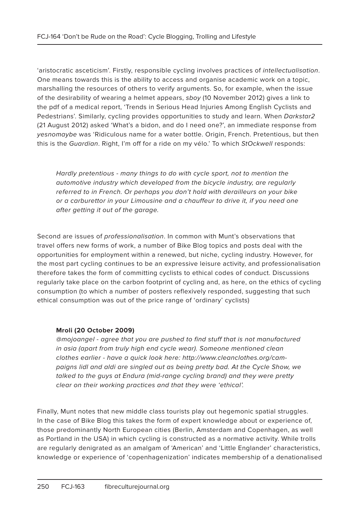'aristocratic asceticism'. Firstly, responsible cycling involves practices of intellectualisation. One means towards this is the ability to access and organise academic work on a topic, marshalling the resources of others to verify arguments. So, for example, when the issue of the desirability of wearing a helmet appears, sboy (10 November 2012) gives a link to the pdf of a medical report, 'Trends in Serious Head Injuries Among English Cyclists and Pedestrians'. Similarly, cycling provides opportunities to study and learn. When Darkstar2 (21 August 2012) asked 'What's a bidon, and do I need one?', an immediate response from yesnomaybe was 'Ridiculous name for a water bottle. Origin, French. Pretentious, but then this is the Guardian. Right, I'm off for a ride on my vélo.' To which StOckwell responds:

Hardly pretentious - many things to do with cycle sport, not to mention the automotive industry which developed from the bicycle industry, are regularly referred to in French. Or perhaps you don't hold with derailleurs on your bike or a carburettor in your Limousine and a chauffeur to drive it, if you need one after getting it out of the garage.

Second are issues of professionalisation. In common with Munt's observations that travel offers new forms of work, a number of Bike Blog topics and posts deal with the opportunities for employment within a renewed, but niche, cycling industry. However, for the most part cycling continues to be an expressive leisure activity, and professionalisation therefore takes the form of committing cyclists to ethical codes of conduct. Discussions regularly take place on the carbon footprint of cycling and, as here, on the ethics of cycling consumption (to which a number of posters reflexively responded, suggesting that such ethical consumption was out of the price range of 'ordinary' cyclists)

#### **Mroli (20 October 2009)**

@mojoangel - agree that you are pushed to find stuff that is not manufactured in asia (apart from truly high end cycle wear). Someone mentioned clean clothes earlier - have a quick look here: http://www.cleanclothes.org/campaigns lidl and aldi are singled out as being pretty bad. At the Cycle Show, we talked to the guys at Endura (mid-range cycling brand) and they were pretty clear on their working practices and that they were 'ethical'.

Finally, Munt notes that new middle class tourists play out hegemonic spatial struggles. In the case of Bike Blog this takes the form of expert knowledge about or experience of, those predominantly North European cities (Berlin, Amsterdam and Copenhagen, as well as Portland in the USA) in which cycling is constructed as a normative activity. While trolls are regularly denigrated as an amalgam of 'American' and 'Little Englander' characteristics, knowledge or experience of 'copenhagenization' indicates membership of a denationalised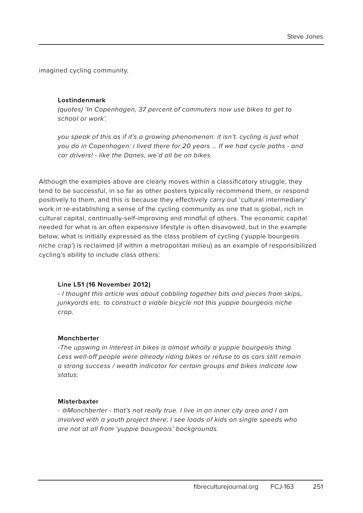imagined cycling community.

#### **Lostindenmark**

(quotes) 'In Copenhagen, 37 percent of commuters now use bikes to get to school or work'.

you speak of this as if it's a growing phenomenon: it isn't. cycling is just what you do in Copenhagen: i lived there for 20 years … If we had cycle paths - and car drivers! - like the Danes, we'd all be on bikes.

Although the examples above are clearly moves within a classificatory struggle, they tend to be successful, in so far as other posters typically recommend them, or respond positively to them, and this is because they effectively carry out 'cultural intermediary' work in re-establishing a sense of the cycling community as one that is global, rich in cultural capital, continually-self-improving and mindful of others. The economic capital needed for what is an often expensive lifestyle is often disavowed, but in the example below, what is initially expressed as the class problem of cycling ('yuppie bourgeois niche crap') is reclaimed (if within a metropolitan milieu) as an example of responsibilized cycling's ability to include class others:

#### **Line L51 (16 November 2012)**

- I thought this article was about cobbling together bits and pieces from skips, junkyards etc. to construct a viable bicycle not this yuppie bourgeois niche crap.

#### **Monchberter**

-The upswing in interest in bikes is almost wholly a yuppie bourgeois thing. Less well-off people were already riding bikes or refuse to as cars still remain a strong success / wealth indicator for certain groups and bikes indicate low status.

#### **Misterbaxter**

- @Monchberter - that's not really true. I live in an inner city area and I am involved with a youth project there; I see loads of kids on single speeds who are not at all from 'yuppie bourgeois' backgrounds.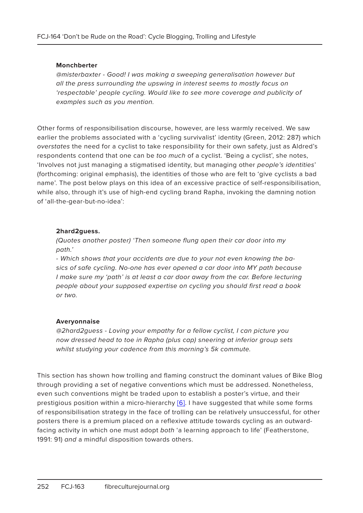#### **Monchberter**

@misterbaxter - Good! I was making a sweeping generalisation however but all the press surrounding the upswing in interest seems to mostly focus on 'respectable' people cycling. Would like to see more coverage and publicity of examples such as you mention.

Other forms of responsibilisation discourse, however, are less warmly received. We saw earlier the problems associated with a 'cycling survivalist' identity (Green, 2012: 287) which overstates the need for a cyclist to take responsibility for their own safety, just as Aldred's respondents contend that one can be too much of a cyclist. 'Being a cyclist', she notes, 'Involves not just managing a stigmatised identity, but managing other people's identities' (forthcoming: original emphasis), the identities of those who are felt to 'give cyclists a bad name'. The post below plays on this idea of an excessive practice of self-responsibilisation, while also, through it's use of high-end cycling brand Rapha, invoking the damning notion of 'all-the-gear-but-no-idea':

#### **2hard2guess.**

(Quotes another poster) 'Then someone flung open their car door into my path.'

- Which shows that your accidents are due to your not even knowing the basics of safe cycling. No-one has ever opened a car door into MY path because I make sure my 'path' is at least a car door away from the car. Before lecturing people about your supposed expertise on cycling you should first read a book or two.

#### **Averyonnaise**

@2hard2guess - Loving your empathy for a fellow cyclist, I can picture you now dressed head to toe in Rapha (plus cap) sneering at inferior group sets whilst studying your cadence from this morning's 5k commute.

This section has shown how trolling and flaming construct the dominant values of Bike Blog through providing a set of negative conventions which must be addressed. Nonetheless, even such conventions might be traded upon to establish a poster's virtue, and their prestigious position within a micro-hierarchy [6]. I have suggested that while some forms of responsibilisation strategy in the face of trolling can be relatively unsuccessful, for other posters there is a premium placed on a reflexive attitude towards cycling as an outwardfacing activity in which one must adopt both 'a learning approach to life' (Featherstone, 1991: 91) and a mindful disposition towards others.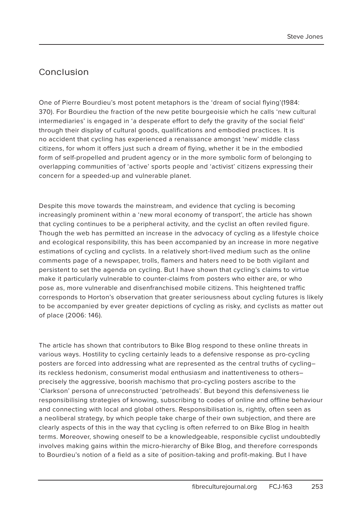# Conclusion

One of Pierre Bourdieu's most potent metaphors is the 'dream of social flying'(1984: 370). For Bourdieu the fraction of the new petite bourgeoisie which he calls 'new cultural intermediaries' is engaged in 'a desperate effort to defy the gravity of the social field' through their display of cultural goods, qualifications and embodied practices. It is no accident that cycling has experienced a renaissance amongst 'new' middle class citizens, for whom it offers just such a dream of flying, whether it be in the embodied form of self-propelled and prudent agency or in the more symbolic form of belonging to overlapping communities of 'active' sports people and 'activist' citizens expressing their concern for a speeded-up and vulnerable planet.

Despite this move towards the mainstream, and evidence that cycling is becoming increasingly prominent within a 'new moral economy of transport', the article has shown that cycling continues to be a peripheral activity, and the cyclist an often reviled figure. Though the web has permitted an increase in the advocacy of cycling as a lifestyle choice and ecological responsibility, this has been accompanied by an increase in more negative estimations of cycling and cyclists. In a relatively short-lived medium such as the online comments page of a newspaper, trolls, flamers and haters need to be both vigilant and persistent to set the agenda on cycling. But I have shown that cycling's claims to virtue make it particularly vulnerable to counter-claims from posters who either are, or who pose as, more vulnerable and disenfranchised mobile citizens. This heightened traffic corresponds to Horton's observation that greater seriousness about cycling futures is likely to be accompanied by ever greater depictions of cycling as risky, and cyclists as matter out of place (2006: 146).

The article has shown that contributors to Bike Blog respond to these online threats in various ways. Hostility to cycling certainly leads to a defensive response as pro-cycling posters are forced into addressing what are represented as the central truths of cycling– its reckless hedonism, consumerist modal enthusiasm and inattentiveness to others– precisely the aggressive, boorish machismo that pro-cycling posters ascribe to the 'Clarkson' persona of unreconstructed 'petrolheads'. But beyond this defensiveness lie responsibilising strategies of knowing, subscribing to codes of online and offline behaviour and connecting with local and global others. Responsibilisation is, rightly, often seen as a neoliberal strategy, by which people take charge of their own subjection, and there are clearly aspects of this in the way that cycling is often referred to on Bike Blog in health terms. Moreover, showing oneself to be a knowledgeable, responsible cyclist undoubtedly involves making gains within the micro-hierarchy of Bike Blog, and therefore corresponds to Bourdieu's notion of a field as a site of position-taking and profit-making. But I have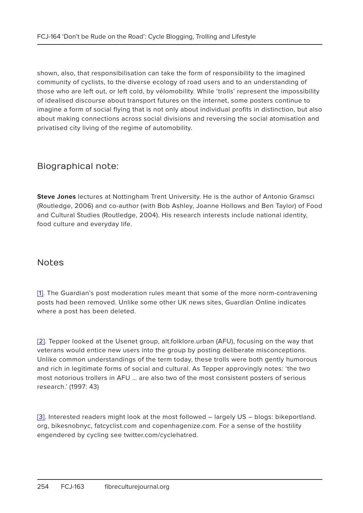shown, also, that responsibilisation can take the form of responsibility to the imagined community of cyclists, to the diverse ecology of road users and to an understanding of those who are left out, or left cold, by vélomobility. While 'trolls' represent the impossibility of idealised discourse about transport futures on the internet, some posters continue to imagine a form of social flying that is not only about individual profits in distinction, but also about making connections across social divisions and reversing the social atomisation and privatised city living of the regime of automobility.

# Biographical note:

**Steve Jones** lectures at Nottingham Trent University. He is the author of Antonio Gramsci (Routledge, 2006) and co-author (with Bob Ashley, Joanne Hollows and Ben Taylor) of Food and Cultural Studies (Routledge, 2004). His research interests include national identity, food culture and everyday life.

## **Notes**

[1]. The Guardian's post moderation rules meant that some of the more norm-contravening posts had been removed. Unlike some other UK news sites, Guardian Online indicates where a post has been deleted.

[2]. Tepper looked at the Usenet group, alt.folklore.urban (AFU), focusing on the way that veterans would entice new users into the group by posting deliberate misconceptions. Unlike common understandings of the term today, these trolls were both gently humorous and rich in legitimate forms of social and cultural. As Tepper approvingly notes: 'the two most notorious trollers in AFU … are also two of the most consistent posters of serious research.' (1997: 43)

[3]. Interested readers might look at the most followed – largely US – blogs: bikeportland. org, bikesnobnyc, fatcyclist.com and copenhagenize.com. For a sense of the hostility engendered by cycling see twitter.com/cyclehatred.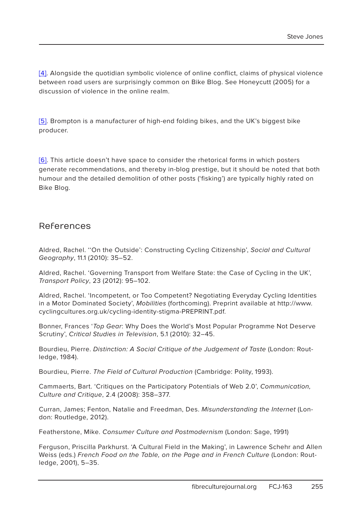[4]. Alongside the quotidian symbolic violence of online conflict, claims of physical violence between road users are surprisingly common on Bike Blog. See Honeycutt (2005) for a discussion of violence in the online realm.

[5]. Brompton is a manufacturer of high-end folding bikes, and the UK's biggest bike producer.

[6]. This article doesn't have space to consider the rhetorical forms in which posters generate recommendations, and thereby in-blog prestige, but it should be noted that both humour and the detailed demolition of other posts ('fisking') are typically highly rated on Bike Blog.

### References

Aldred, Rachel. ''On the Outside': Constructing Cycling Citizenship', Social and Cultural Geography, 11.1 (2010): 35–52.

Aldred, Rachel. 'Governing Transport from Welfare State: the Case of Cycling in the UK', Transport Policy, 23 (2012): 95–102.

Aldred, Rachel. 'Incompetent, or Too Competent? Negotiating Everyday Cycling Identities in a Motor Dominated Society', Mobilities (forthcoming). Preprint available at http://www. cyclingcultures.org.uk/cycling-identity-stigma-PREPRINT.pdf.

Bonner, Frances 'Top Gear: Why Does the World's Most Popular Programme Not Deserve Scrutiny', Critical Studies in Television, 5.1 (2010): 32–45.

Bourdieu, Pierre. Distinction: A Social Critique of the Judgement of Taste (London: Routledge, 1984).

Bourdieu, Pierre. The Field of Cultural Production (Cambridge: Polity, 1993).

Cammaerts, Bart. 'Critiques on the Participatory Potentials of Web 2.0', Communication, Culture and Critique, 2.4 (2008): 358–377.

Curran, James; Fenton, Natalie and Freedman, Des. Misunderstanding the Internet (London: Routledge, 2012).

Featherstone, Mike. Consumer Culture and Postmodernism (London: Sage, 1991)

Ferguson, Priscilla Parkhurst. 'A Cultural Field in the Making', in Lawrence Schehr and Allen Weiss (eds.) French Food on the Table, on the Page and in French Culture (London: Routledge, 2001), 5–35.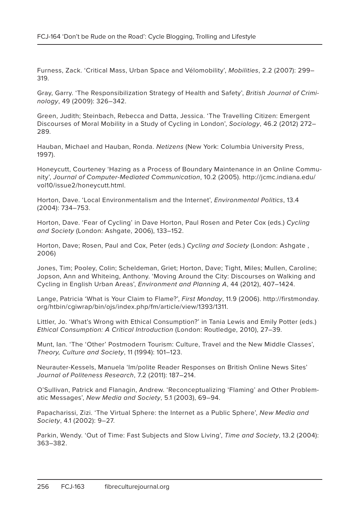Furness, Zack. 'Critical Mass, Urban Space and Vélomobility', Mobilities, 2.2 (2007): 299– 319.

Gray, Garry. 'The Responsibilization Strategy of Health and Safety', British Journal of Criminology, 49 (2009): 326–342.

Green, Judith; Steinbach, Rebecca and Datta, Jessica. 'The Travelling Citizen: Emergent Discourses of Moral Mobility in a Study of Cycling in London', Sociology, 46.2 (2012) 272– 289.

Hauban, Michael and Hauban, Ronda. Netizens (New York: Columbia University Press, 1997).

Honeycutt, Courteney 'Hazing as a Process of Boundary Maintenance in an Online Community', Journal of Computer-Mediated Communication, 10.2 (2005). http://jcmc.indiana.edu/ vol10/issue2/honeycutt.html.

Horton, Dave. 'Local Environmentalism and the Internet', Environmental Politics, 13.4 (2004): 734–753.

Horton, Dave. 'Fear of Cycling' in Dave Horton, Paul Rosen and Peter Cox (eds.) Cycling and Society (London: Ashgate, 2006), 133–152.

Horton, Dave; Rosen, Paul and Cox, Peter (eds.) Cycling and Society (London: Ashgate, 2006)

Jones, Tim; Pooley, Colin; Scheldeman, Griet; Horton, Dave; Tight, Miles; Mullen, Caroline; Jopson, Ann and Whiteing, Anthony. 'Moving Around the City: Discourses on Walking and Cycling in English Urban Areas', Environment and Planning A, 44 (2012), 407–1424.

Lange, Patricia 'What is Your Claim to Flame?', *First Monday*, 11.9 (2006). http://firstmonday. org/htbin/cgiwrap/bin/ojs/index.php/fm/article/view/1393/1311.

Littler, Jo. 'What's Wrong with Ethical Consumption?' in Tania Lewis and Emily Potter (eds.) Ethical Consumption: A Critical Introduction (London: Routledge, 2010), 27–39.

Munt, Ian. 'The 'Other' Postmodern Tourism: Culture, Travel and the New Middle Classes', Theory, Culture and Society, 11 (1994): 101–123.

Neurauter-Kessels, Manuela 'Im/polite Reader Responses on British Online News Sites' Journal of Politeness Research, 7.2 (2011): 187–214.

O'Sullivan, Patrick and Flanagin, Andrew. 'Reconceptualizing 'Flaming' and Other Problematic Messages', New Media and Society, 5.1 (2003), 69–94.

Papacharissi, Zizi. 'The Virtual Sphere: the Internet as a Public Sphere', New Media and Society, 4.1 (2002): 9–27.

Parkin, Wendy. 'Out of Time: Fast Subjects and Slow Living', Time and Society, 13.2 (2004): 363–382.